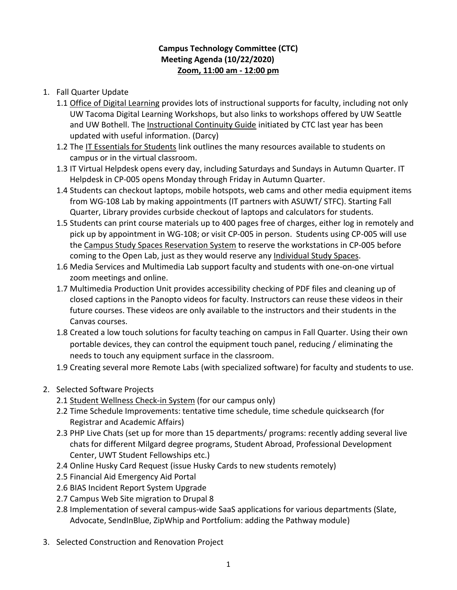## **Campus Technology Committee (CTC) Meeting Agenda (10/22/2020) Zoom, 11:00 am - 12:00 pm**

- 1. Fall Quarter Update
	- 1.1 [Office of Digital Learning](http://uwtdev3.tacoma.uw.edu/~jamesini/uwtd8main_staging/web/digital-learning) provides lots of instructional supports for faculty, including not only UW Tacoma Digital Learning Workshops, but also links to workshops offered by UW Seattle and UW Bothell. The [Instructional Continuity Guide](http://uwtdev3.tacoma.uw.edu/~jamesini/uwtd8main_staging/web/digital-learning/instructional-continuity) initiated by CTC last year has been updated with useful information. (Darcy)
	- 1.2 The [IT Essentials for Students](https://www.tacoma.uw.edu/information-technology/it-essentials-students) link outlines the many resources available to students on campus or in the virtual classroom.
	- 1.3 IT Virtual Helpdesk opens every day, including Saturdays and Sundays in Autumn Quarter. IT Helpdesk in CP-005 opens Monday through Friday in Autumn Quarter.
	- 1.4 Students can checkout laptops, mobile hotspots, web cams and other media equipment items from WG-108 Lab by making appointments (IT partners with ASUWT/ STFC). Starting Fall Quarter, Library provides curbside checkout of laptops and calculators for students.
	- 1.5 Students can print course materials up to 400 pages free of charges, either log in remotely and pick up by appointment in WG-108; or visit CP-005 in person. Students using CP-005 will use th[e Campus Study Spaces Reservation System](https://www.tacoma.uw.edu/Study) to reserve the workstations in CP-005 before coming to the Open Lab, just as they would reserve any Individual [Study Spaces.](https://www.tacoma.uw.edu/study/spaces)
	- 1.6 Media Services and Multimedia Lab support faculty and students with one-on-one virtual zoom meetings and online.
	- 1.7 Multimedia Production Unit provides accessibility checking of PDF files and cleaning up of closed captions in the Panopto videos for faculty. Instructors can reuse these videos in their future courses. These videos are only available to the instructors and their students in the Canvas courses.
	- 1.8 Created a low touch solutions for faculty teaching on campus in Fall Quarter. Using their own portable devices, they can control the equipment touch panel, reducing / eliminating the needs to touch any equipment surface in the classroom.
	- 1.9 Creating several more Remote Labs (with specialized software) for faculty and students to use.
- 2. Selected Software Projects
	- 2.1 [Student Wellness Check-in System](https://idp.u.washington.edu/idp/profile/SAML2/Redirect/SSO;jsessionid=E9EFE48A3084A8B5596DFEE1B4B20A37.idp05?execution=e1s1) (for our campus only)
	- 2.2 Time Schedule Improvements: tentative time schedule, time schedule quicksearch (for Registrar and Academic Affairs)
	- 2.3 PHP Live Chats (set up for more than 15 departments/ programs: recently adding several live chats for different Milgard degree programs, Student Abroad, Professional Development Center, UWT Student Fellowships etc.)
	- 2.4 Online Husky Card Request (issue Husky Cards to new students remotely)
	- 2.5 Financial Aid Emergency Aid Portal
	- 2.6 BIAS Incident Report System Upgrade
	- 2.7 Campus Web Site migration to Drupal 8
	- 2.8 Implementation of several campus-wide SaaS applications for various departments (Slate, Advocate, SendInBlue, ZipWhip and Portfolium: adding the Pathway module)
- 3. Selected Construction and Renovation Project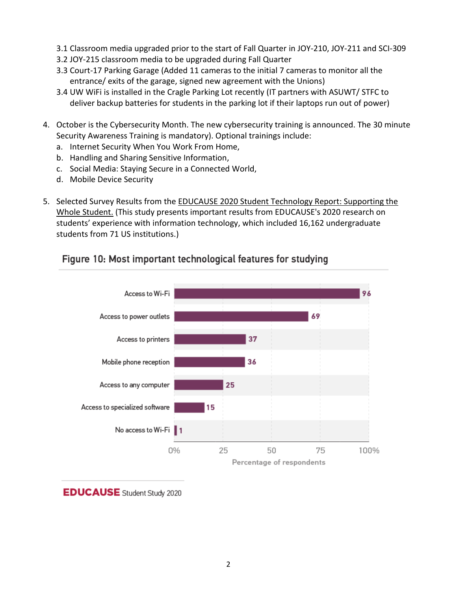- 3.1 Classroom media upgraded prior to the start of Fall Quarter in JOY-210, JOY-211 and SCI-309
- 3.2 JOY-215 classroom media to be upgraded during Fall Quarter
- 3.3 Court-17 Parking Garage (Added 11 cameras to the initial 7 cameras to monitor all the entrance/ exits of the garage, signed new agreement with the Unions)
- 3.4 UW WiFi is installed in the Cragle Parking Lot recently (IT partners with ASUWT/ STFC to deliver backup batteries for students in the parking lot if their laptops run out of power)
- 4. October is the Cybersecurity Month. The new cybersecurity training is announced. The 30 minute Security Awareness Training is mandatory). Optional trainings include:
	- a. Internet Security When You Work From Home,
	- b. Handling and Sharing Sensitive Information,
	- c. Social Media: Staying Secure in a Connected World,
	- d. Mobile Device Security
- 5. Selected Survey Results from the [EDUCAUSE 2020 Student Technology Report: Supporting the](https://www.educause.edu/ecar/research-publications/student-technology-report-supporting-the-whole-student/2020/introduction)  [Whole Student.](https://www.educause.edu/ecar/research-publications/student-technology-report-supporting-the-whole-student/2020/introduction) (This study presents important results from EDUCAUSE's 2020 research on students' experience with information technology, which included 16,162 undergraduate students from 71 US institutions.)

## Figure 10: Most important technological features for studying



**EDUCAUSE** Student Study 2020